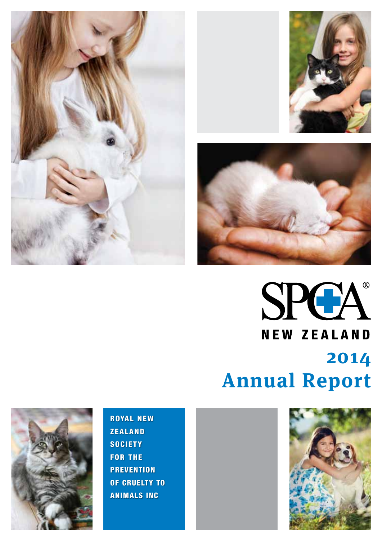









ROYAL NEW ZEALAND **SOCIETY** FOR THE **PREVENTION** of Cruelty to Animals Inc



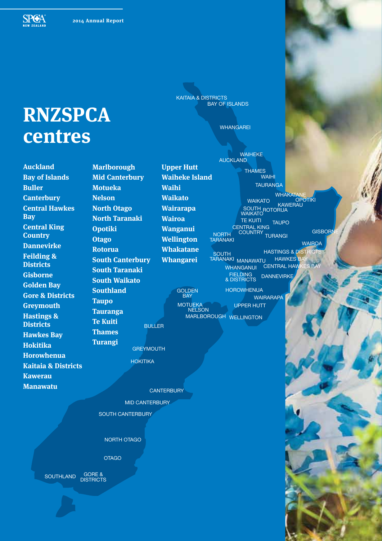## **RNZSPCA centres**

**SPGA** 

BAY OF ISLANDS KAITAIA & DISTRICTS

**WHANGAREI** 

**Auckland Bay of Islands Buller Canterbury Central Hawkes Bay Central King Country Dannevirke Feilding & Districts Gisborne Golden Bay Gore & Districts Greymouth Hastings & Districts Hawkes Bay Hokitika Horowhenua Kaitaia & Districts Kawerau Manawatu** 

**Marlborough Mid Canterbury Motueka Nelson North Otago North Taranaki Opotiki Otago Rotorua South Canterbury South Taranaki South Waikato Southland Taupo Tauranga Te Kuiti Thames Turangi**  BULLER **GREYMOUTH** HOKITIKA

**Upper Hutt Waiheke Island Waihi Waikato Wairarapa Wairoa Wanganui Wellington Whakatane Whangarei**  AUCKLAND **WAIHEKE THAMES** NORTH<br>TARANAKI **SOUTH GOLDEN BAY** 

MOTUEKA NELSON

**CANTERBURY** 

MID CANTERBURY SOUTH CANTERBURY

NORTH OTAGO

**OTAGO** 

SOUTHLAND GORE &<br>DISTRICTS

**AWERAU<br>SOUTH ROTORUA** TE KUITI TAUPO TURANGI WAIKATO **HASTINGS & DISTR** CENTRAL KING NORTH COUNTRY TARANAKI MANAWATU CENTRAL HAW **HAWKES** B FIELDING DANNEVIRKE & DISTRICTS WHANGANUI **HOROWHENUA** UPPER HUTT **WAIRARAPA** 

**WAIHI** 

**TAURANGA** 

WHAKATANE<br>WAIKATO OPOTIKI

**GISBORN** 

WAIROA

MARLBOROUGH WELLINGTON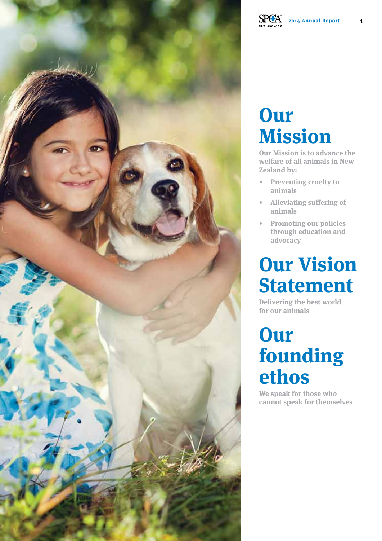

## **Our Mission**

**SPCA**®

**Our Mission is to advance the welfare of all animals in New Zealand by:**

- **• Preventing cruelty to animals**
- **• Alleviating suffering of animals**
- **• Promoting our policies through education and advocacy**

## **Our Vision Statement**

**Delivering the best world for our animals**

## **Our founding ethos**

**We speak for those who cannot speak for themselves**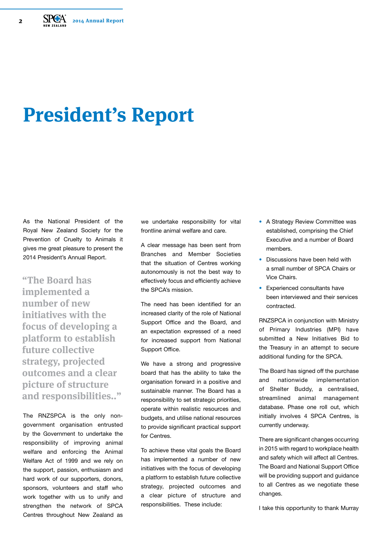## **President's Report**

As the National President of the Royal New Zealand Society for the Prevention of Cruelty to Animals it gives me great pleasure to present the 2014 President's Annual Report.

**"The Board has implemented a number of new initiatives with the focus of developing a platform to establish future collective strategy, projected outcomes and a clear picture of structure and responsibilities.."**

The RNZSPCA is the only nongovernment organisation entrusted by the Government to undertake the responsibility of improving animal welfare and enforcing the Animal Welfare Act of 1999 and we rely on the support, passion, enthusiasm and hard work of our supporters, donors, sponsors, volunteers and staff who work together with us to unify and strengthen the network of SPCA Centres throughout New Zealand as

we undertake responsibility for vital frontline animal welfare and care.

A clear message has been sent from Branches and Member Societies that the situation of Centres working autonomously is not the best way to effectively focus and efficiently achieve the SPCA's mission.

The need has been identified for an increased clarity of the role of National Support Office and the Board, and an expectation expressed of a need for increased support from National Support Office.

We have a strong and progressive board that has the ability to take the organisation forward in a positive and sustainable manner. The Board has a responsibility to set strategic priorities, operate within realistic resources and budgets, and utilise national resources to provide significant practical support for Centres.

To achieve these vital goals the Board has implemented a number of new initiatives with the focus of developing a platform to establish future collective strategy, projected outcomes and a clear picture of structure and responsibilities. These include:

- A Strategy Review Committee was established, comprising the Chief Executive and a number of Board members.
- Discussions have been held with a small number of SPCA Chairs or Vice Chairs.
- Experienced consultants have been interviewed and their services contracted.

RNZSPCA in conjunction with Ministry of Primary Industries (MPI) have submitted a New Initiatives Bid to the Treasury in an attempt to secure additional funding for the SPCA.

The Board has signed off the purchase and nationwide implementation of Shelter Buddy, a centralised, streamlined animal management database. Phase one roll out, which initially involves 4 SPCA Centres, is currently underway.

There are significant changes occurring in 2015 with regard to workplace health and safety which will affect all Centres. The Board and National Support Office will be providing support and guidance to all Centres as we negotiate these changes.

I take this opportunity to thank Murray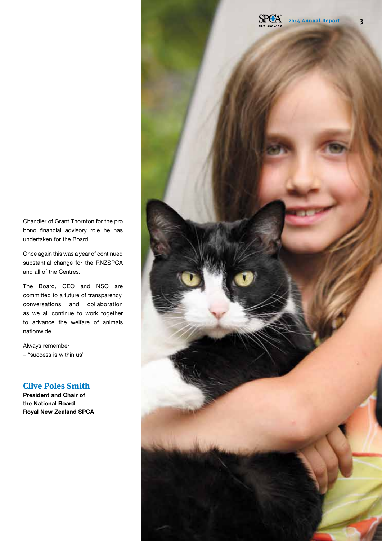Chandler of Grant Thornton for the pro bono financial advisory role he has undertaken for the Board.

Once again this was a year of continued substantial change for the RNZSPCA and all of the Centres.

The Board, CEO and NSO are committed to a future of transparency, conversations and collaboration as we all continue to work together to advance the welfare of animals nationwide.

Always remember

– "success is within us"

**Clive Poles Smith**

**President and Chair of the National Board Royal New Zealand SPCA**

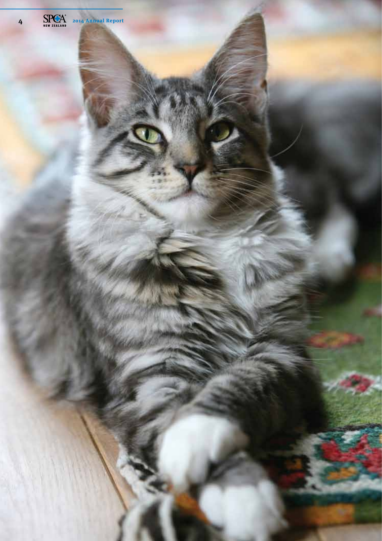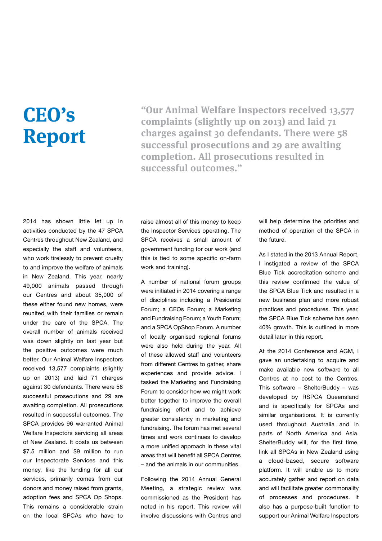## **CEO's Report**

**"Our Animal Welfare Inspectors received 13,577 complaints (slightly up on 2013) and laid 71 charges against 30 defendants. There were 58 successful prosecutions and 29 are awaiting completion. All prosecutions resulted in successful outcomes."**

2014 has shown little let up in activities conducted by the 47 SPCA Centres throughout New Zealand, and especially the staff and volunteers, who work tirelessly to prevent cruelty to and improve the welfare of animals in New Zealand. This year, nearly 49,000 animals passed through our Centres and about 35,000 of these either found new homes, were reunited with their families or remain under the care of the SPCA. The overall number of animals received was down slightly on last year but the positive outcomes were much better. Our Animal Welfare Inspectors received 13,577 complaints (slightly up on 2013) and laid 71 charges against 30 defendants. There were 58 successful prosecutions and 29 are awaiting completion. All prosecutions resulted in successful outcomes. The SPCA provides 96 warranted Animal Welfare Inspectors servicing all areas of New Zealand. It costs us between \$7.5 million and \$9 million to run our Inspectorate Services and this money, like the funding for all our services, primarily comes from our donors and money raised from grants, adoption fees and SPCA Op Shops. This remains a considerable strain on the local SPCAs who have to

raise almost all of this money to keep the Inspector Services operating. The SPCA receives a small amount of government funding for our work (and this is tied to some specific on-farm work and training).

A number of national forum groups were initiated in 2014 covering a range of disciplines including a Presidents Forum; a CEOs Forum; a Marketing and Fundraising Forum; a Youth Forum; and a SPCA OpShop Forum. A number of locally organised regional forums were also held during the year. All of these allowed staff and volunteers from different Centres to gather, share experiences and provide advice. I tasked the Marketing and Fundraising Forum to consider how we might work better together to improve the overall fundraising effort and to achieve greater consistency in marketing and fundraising. The forum has met several times and work continues to develop a more unified approach in these vital areas that will benefit all SPCA Centres – and the animals in our communities.

Following the 2014 Annual General Meeting, a strategic review was commissioned as the President has noted in his report. This review will involve discussions with Centres and

will help determine the priorities and method of operation of the SPCA in the future.

As I stated in the 2013 Annual Report, I instigated a review of the SPCA Blue Tick accreditation scheme and this review confirmed the value of the SPCA Blue Tick and resulted in a new business plan and more robust practices and procedures. This year, the SPCA Blue Tick scheme has seen 40% growth. This is outlined in more detail later in this report.

At the 2014 Conference and AGM, I gave an undertaking to acquire and make available new software to all Centres at no cost to the Centres. This software – ShelterBuddy – was developed by RSPCA Queensland and is specifically for SPCAs and similar organisations. It is currently used throughout Australia and in parts of North America and Asia. ShelterBuddy will, for the first time, link all SPCAs in New Zealand using a cloud-based, secure software platform. It will enable us to more accurately gather and report on data and will facilitate greater commonality of processes and procedures. It also has a purpose-built function to support our Animal Welfare Inspectors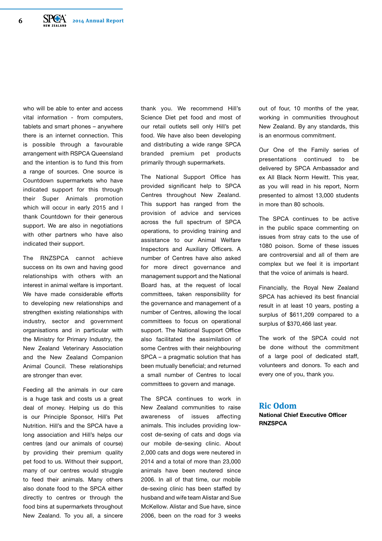who will be able to enter and access vital information - from computers, tablets and smart phones – anywhere there is an internet connection. This is possible through a favourable arrangement with RSPCA Queensland and the intention is to fund this from a range of sources. One source is Countdown supermarkets who have indicated support for this through their Super Animals promotion which will occur in early 2015 and I thank Countdown for their generous support. We are also in negotiations with other partners who have also indicated their support.

The RNZSPCA cannot achieve success on its own and having good relationships with others with an interest in animal welfare is important. We have made considerable efforts to developing new relationships and strengthen existing relationships with industry, sector and government organisations and in particular with the Ministry for Primary Industry, the New Zealand Veterinary Association and the New Zealand Companion Animal Council. These relationships are stronger than ever.

Feeding all the animals in our care is a huge task and costs us a great deal of money. Helping us do this is our Principle Sponsor, Hill's Pet Nutrition. Hill's and the SPCA have a long association and Hill's helps our centres (and our animals of course) by providing their premium quality pet food to us. Without their support, many of our centres would struggle to feed their animals. Many others also donate food to the SPCA either directly to centres or through the food bins at supermarkets throughout New Zealand. To you all, a sincere

thank you. We recommend Hill's Science Diet pet food and most of our retail outlets sell only Hill's pet food. We have also been developing and distributing a wide range SPCA branded premium pet products primarily through supermarkets.

The National Support Office has provided significant help to SPCA Centres throughout New Zealand. This support has ranged from the provision of advice and services across the full spectrum of SPCA operations, to providing training and assistance to our Animal Welfare Inspectors and Auxiliary Officers. A number of Centres have also asked for more direct governance and management support and the National Board has, at the request of local committees, taken responsibility for the governance and management of a number of Centres, allowing the local committees to focus on operational support. The National Support Office also facilitated the assimilation of some Centres with their neighbouring SPCA – a pragmatic solution that has been mutually beneficial; and returned a small number of Centres to local committees to govern and manage.

The SPCA continues to work in New Zealand communities to raise awareness of issues affecting animals. This includes providing lowcost de-sexing of cats and dogs via our mobile de-sexing clinic. About 2,000 cats and dogs were neutered in 2014 and a total of more than 23,000 animals have been neutered since 2006. In all of that time, our mobile de-sexing clinic has been staffed by husband and wife team Alistar and Sue McKellow. Alistar and Sue have, since 2006, been on the road for 3 weeks out of four, 10 months of the year, working in communities throughout New Zealand. By any standards, this is an enormous commitment.

Our One of the Family series of presentations continued to be delivered by SPCA Ambassador and ex All Black Norm Hewitt. This year, as you will read in his report, Norm presented to almost 13,000 students in more than 80 schools.

The SPCA continues to be active in the public space commenting on issues from stray cats to the use of 1080 poison. Some of these issues are controversial and all of them are complex but we feel it is important that the voice of animals is heard.

Financially, the Royal New Zealand SPCA has achieved its best financial result in at least 10 years, posting a surplus of \$611,209 compared to a surplus of \$370,466 last year.

The work of the SPCA could not be done without the commitment of a large pool of dedicated staff, volunteers and donors. To each and every one of you, thank you.

#### **Ric Odom**

**National Chief Executive Officer RNZSPCA**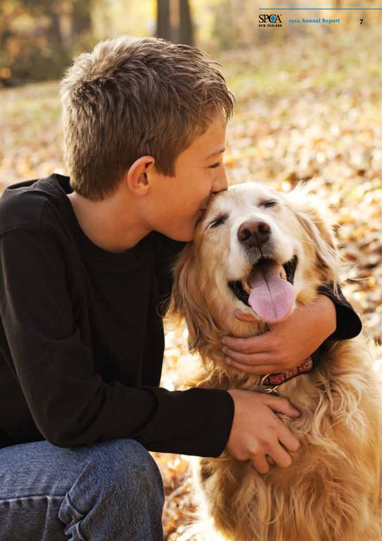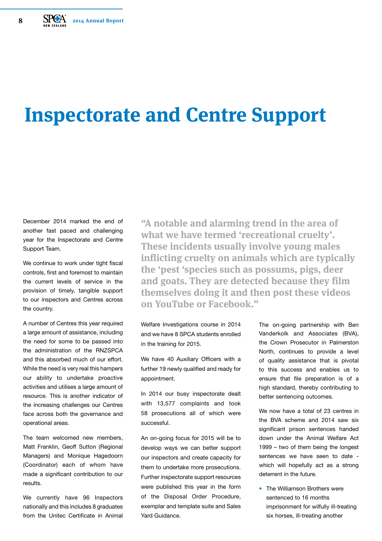### **Inspectorate and Centre Support**

December 2014 marked the end of another fast paced and challenging year for the Inspectorate and Centre Support Team.

We continue to work under tight fiscal controls, first and foremost to maintain the current levels of service in the provision of timely, tangible support to our inspectors and Centres across the country.

A number of Centres this year required a large amount of assistance, including the need for some to be passed into the administration of the RNZSPCA and this absorbed much of our effort. While the need is very real this hampers our ability to undertake proactive activities and utilises a large amount of resource. This is another indicator of the increasing challenges our Centres face across both the governance and operational areas.

The team welcomed new members, Matt Franklin, Geoff Sutton (Regional Managers) and Monique Hagedoorn (Coordinator) each of whom have made a significant contribution to our results.

We currently have 96 Inspectors nationally and this includes 8 graduates from the Unitec Certificate in Animal

**"A notable and alarming trend in the area of what we have termed 'recreational cruelty'. These incidents usually involve young males inflicting cruelty on animals which are typically the 'pest 'species such as possums, pigs, deer and goats. They are detected because they film themselves doing it and then post these videos on YouTube or Facebook."**

Welfare Investigations course in 2014 and we have 8 SPCA students enrolled in the training for 2015.

We have 40 Auxiliary Officers with a further 19 newly qualified and ready for appointment.

In 2014 our busy inspectorate dealt with 13,577 complaints and took 58 prosecutions all of which were successful.

An on-going focus for 2015 will be to develop ways we can better support our inspectors and create capacity for them to undertake more prosecutions. Further inspectorate support resources were published this year in the form of the Disposal Order Procedure, exemplar and template suite and Sales Yard Guidance.

The on-going partnership with Ben Vanderkolk and Associates (BVA), the Crown Prosecutor in Palmerston North, continues to provide a level of quality assistance that is pivotal to this success and enables us to ensure that file preparation is of a high standard, thereby contributing to better sentencing outcomes.

We now have a total of 23 centres in the BVA scheme and 2014 saw six significant prison sentences handed down under the Animal Welfare Act 1999 – two of them being the longest sentences we have seen to date which will hopefully act as a strong deterrent in the future.

• The Williamson Brothers were sentenced to 16 months imprisonment for wilfully ill-treating six horses, ill-treating another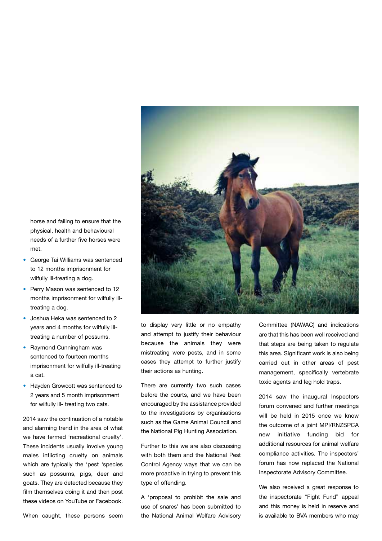

horse and failing to ensure that the physical, health and behavioural needs of a further five horses were met.

- George Tai Williams was sentenced to 12 months imprisonment for wilfully ill-treating a dog.
- Perry Mason was sentenced to 12 months imprisonment for wilfully illtreating a dog.
- Joshua Heka was sentenced to 2 years and 4 months for wilfully illtreating a number of possums.
- Raymond Cunningham was sentenced to fourteen months imprisonment for wilfully ill-treating a cat.
- Hayden Growcott was sentenced to 2 years and 5 month imprisonment for wilfully ill- treating two cats.

2014 saw the continuation of a notable and alarming trend in the area of what we have termed 'recreational cruelty'. These incidents usually involve young males inflicting cruelty on animals which are typically the 'pest 'species such as possums, pigs, deer and goats. They are detected because they film themselves doing it and then post these videos on YouTube or Facebook.

to display very little or no empathy and attempt to justify their behaviour because the animals they were mistreating were pests, and in some cases they attempt to further justify their actions as hunting.

There are currently two such cases before the courts, and we have been encouraged by the assistance provided to the investigations by organisations such as the Game Animal Council and the National Pig Hunting Association.

Further to this we are also discussing with both them and the National Pest Control Agency ways that we can be more proactive in trying to prevent this type of offending.

A 'proposal to prohibit the sale and use of snares' has been submitted to the National Animal Welfare Advisory

Committee (NAWAC) and indications are that this has been well received and that steps are being taken to regulate this area. Significant work is also being carried out in other areas of pest management, specifically vertebrate toxic agents and leg hold traps.

2014 saw the inaugural Inspectors forum convened and further meetings will be held in 2015 once we know the outcome of a joint MPI/RNZSPCA new initiative funding bid for additional resources for animal welfare compliance activities. The inspectors' forum has now replaced the National Inspectorate Advisory Committee.

We also received a great response to the inspectorate "Fight Fund" appeal and this money is held in reserve and is available to BVA members who may

When caught, these persons seem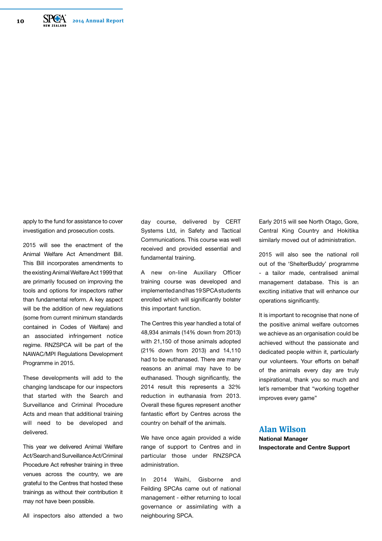

apply to the fund for assistance to cover investigation and prosecution costs.

2015 will see the enactment of the Animal Welfare Act Amendment Bill. This Bill incorporates amendments to the existing Animal Welfare Act 1999 that are primarily focused on improving the tools and options for inspectors rather than fundamental reform. A key aspect will be the addition of new regulations (some from current minimum standards contained in Codes of Welfare) and an associated infringement notice regime. RNZSPCA will be part of the NAWAC/MPI Regulations Development Programme in 2015.

These developments will add to the changing landscape for our inspectors that started with the Search and Surveillance and Criminal Procedure Acts and mean that additional training will need to be developed and delivered.

This year we delivered Animal Welfare Act/Search and Surveillance Act/Criminal Procedure Act refresher training in three venues across the country, we are grateful to the Centres that hosted these trainings as without their contribution it may not have been possible.

All inspectors also attended a two

day course, delivered by CERT Systems Ltd, in Safety and Tactical Communications. This course was well received and provided essential and fundamental training.

A new on-line Auxiliary Officer training course was developed and implemented and has 19 SPCA students enrolled which will significantly bolster this important function.

The Centres this year handled a total of 48,934 animals (14% down from 2013) with 21,150 of those animals adopted (21% down from 2013) and 14,110 had to be euthanased. There are many reasons an animal may have to be euthanased. Though significantly, the 2014 result this represents a 32% reduction in euthanasia from 2013. Overall these figures represent another fantastic effort by Centres across the country on behalf of the animals.

We have once again provided a wide range of support to Centres and in particular those under RNZSPCA administration.

In 2014 Waihi, Gisborne and Feilding SPCAs came out of national management - either returning to local governance or assimilating with a neighbouring SPCA.

Early 2015 will see North Otago, Gore, Central King Country and Hokitika similarly moved out of administration.

2015 will also see the national roll out of the 'ShelterBuddy' programme - a tailor made, centralised animal management database. This is an exciting initiative that will enhance our operations significantly.

It is important to recognise that none of the positive animal welfare outcomes we achieve as an organisation could be achieved without the passionate and dedicated people within it, particularly our volunteers. Your efforts on behalf of the animals every day are truly inspirational, thank you so much and let's remember that "working together improves every game"

### **Alan Wilson**

**National Manager Inspectorate and Centre Support**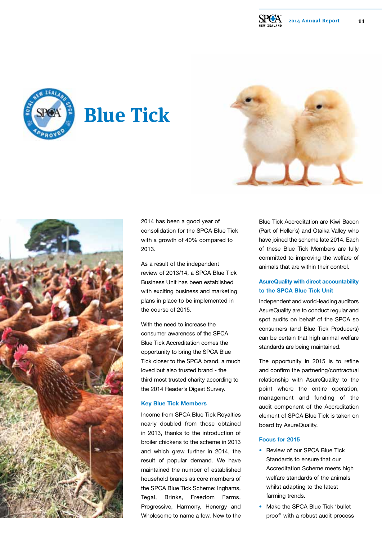

# **Blue Tick**





2014 has been a good year of consolidation for the SPCA Blue Tick with a growth of 40% compared to 2013.

As a result of the independent review of 2013/14, a SPCA Blue Tick Business Unit has been established with exciting business and marketing plans in place to be implemented in the course of 2015.

With the need to increase the consumer awareness of the SPCA Blue Tick Accreditation comes the opportunity to bring the SPCA Blue Tick closer to the SPCA brand, a much loved but also trusted brand - the third most trusted charity according to the 2014 Reader's Digest Survey.

#### **Key Blue Tick Members**

Income from SPCA Blue Tick Royalties nearly doubled from those obtained in 2013, thanks to the introduction of broiler chickens to the scheme in 2013 and which grew further in 2014, the result of popular demand. We have maintained the number of established household brands as core members of the SPCA Blue Tick Scheme: Inghams, Tegal, Brinks, Freedom Farms, Progressive, Harmony, Henergy and Wholesome to name a few. New to the

Blue Tick Accreditation are Kiwi Bacon (Part of Heller's) and Otaika Valley who have joined the scheme late 2014. Each of these Blue Tick Members are fully committed to improving the welfare of animals that are within their control.

### **AsureQuality with direct accountability to the SPCA Blue Tick Unit**

Independent and world-leading auditors AsureQuality are to conduct regular and spot audits on behalf of the SPCA so consumers (and Blue Tick Producers) can be certain that high animal welfare standards are being maintained.

The opportunity in 2015 is to refine and confirm the partnering/contractual relationship with AsureQuality to the point where the entire operation, management and funding of the audit component of the Accreditation element of SPCA Blue Tick is taken on board by AsureQuality.

#### **Focus for 2015**

- Review of our SPCA Blue Tick Standards to ensure that our Accreditation Scheme meets high welfare standards of the animals whilst adapting to the latest farming trends.
- Make the SPCA Blue Tick 'bullet proof' with a robust audit process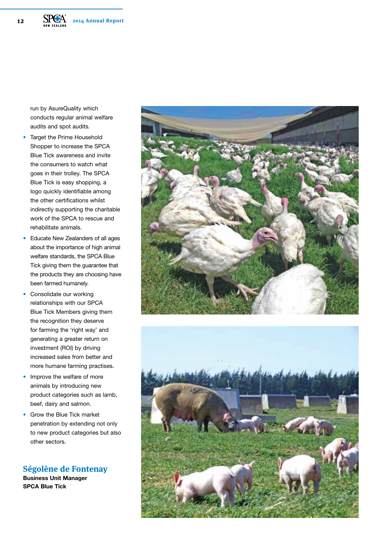

run by AsureQuality which conducts regular animal welfare audits and spot audits.

- Target the Prime Household Shopper to increase the SPCA Blue Tick awareness and invite the consumers to watch what goes in their trolley. The SPCA Blue Tick is easy shopping, a logo quickly identifiable among the other certifications whilst indirectly supporting the charitable work of the SPCA to rescue and rehabilitate animals.
- Educate New Zealanders of all ages about the importance of high animal welfare standards, the SPCA Blue Tick giving them the guarantee that the products they are choosing have been farmed humanely.
- Consolidate our working relationships with our SPCA Blue Tick Members giving them the recognition they deserve for farming the 'right way' and generating a greater return on investment (ROI) by driving increased sales from better and more humane farming practises.
- Improve the welfare of more animals by introducing new product categories such as lamb, beef, dairy and salmon.
- Grow the Blue Tick market penetration by extending not only to new product categories but also other sectors.

**Ségolène de Fontenay**

**Business Unit Manager SPCA Blue Tick**



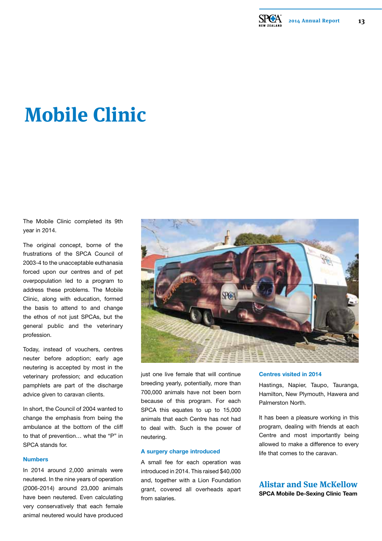

## **Mobile Clinic**

The Mobile Clinic completed its 9th year in 2014.

The original concept, borne of the frustrations of the SPCA Council of 2003-4 to the unacceptable euthanasia forced upon our centres and of pet overpopulation led to a program to address these problems. The Mobile Clinic, along with education, formed the basis to attend to and change the ethos of not just SPCAs, but the general public and the veterinary profession.

Today, instead of vouchers, centres neuter before adoption; early age neutering is accepted by most in the veterinary profession; and education pamphlets are part of the discharge advice given to caravan clients.

In short, the Council of 2004 wanted to change the emphasis from being the ambulance at the bottom of the cliff to that of prevention… what the "P" in SPCA stands for.

#### **Numbers**

In 2014 around 2,000 animals were neutered. In the nine years of operation (2006-2014) around 23,000 animals have been neutered. Even calculating very conservatively that each female animal neutered would have produced



just one live female that will continue breeding yearly, potentially, more than 700,000 animals have not been born because of this program. For each SPCA this equates to up to 15,000 animals that each Centre has not had to deal with. Such is the power of neutering.

#### **A surgery charge introduced**

A small fee for each operation was introduced in 2014. This raised \$40,000 and, together with a Lion Foundation grant, covered all overheads apart from salaries.

#### **Centres visited in 2014**

Hastings, Napier, Taupo, Tauranga, Hamilton, New Plymouth, Hawera and Palmerston North.

It has been a pleasure working in this program, dealing with friends at each Centre and most importantly being allowed to make a difference to every life that comes to the caravan.

### **Alistar and Sue McKellow SPCA Mobile De-Sexing Clinic Team**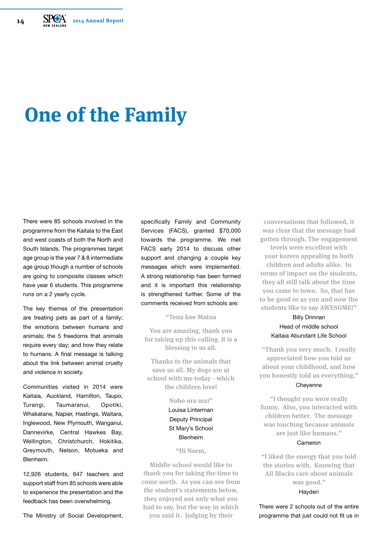## **One of the Family**

There were 85 schools involved in the programme from the Kaitaia to the East and west coasts of both the North and South Islands. The programmes target age group is the year 7 & 8 intermediate age group though a number of schools are going to composite classes which have year 6 students. This programme runs on a 2 yearly cycle.

The key themes of the presentation are treating pets as part of a family; the emotions between humans and animals; the 5 freedoms that animals require every day; and how they relate to humans. A final message is talking about the link between animal cruelty and violence in society.

Communities visited in 2014 were Kaitaia, Auckland, Hamilton, Taupo, Turangi, Taumaranui, Opotiki, Whakatane, Napier, Hastings, Waitara, Inglewood, New Plymouth, Wanganui, Dannevirke, Central Hawkes Bay, Wellington, Christchurch, Hokitika, Greymouth, Nelson, Motueka and Blenheim.

12,926 students, 647 teachers and support staff from 85 schools were able to experience the presentation and the feedback has been overwhelming.

The Ministry of Social Development,

specifically Family and Community Services (FACS), granted \$70,000 towards the programme. We met FACS early 2014 to discuss other support and changing a couple key messages which were implemented. A strong relationship has been formed and it is important this relationship is strengthened further. Some of the comments received from schools are:

#### **"Tena koe Matua**

**You are amazing, thank you for taking up this calling. It is a blessing to us all.**

**Thanks to the animals that save us all. My dogs are at school with me today - which the children love!**

#### **Noho ora mai"**

### Louisa Linterman Deputy Principal St Mary's School Blenheim

#### **"Hi Norm,**

**Middle school would like to thank you for taking the time to come north. As you can see from the student's statements below, they enjoyed not only what you had to say, but the way in which you said it. Judging by their** 

**conversations that followed, it was clear that the message had gotten through. The engagement levels were excellent with your korero appealing to both children and adults alike. In terms of impact on the students, they all still talk about the time you came to town. So, that has to be good or as you and now the students like to say AWESOME!"** 

### Billy Drinnan Head of middle school Kaitaia Abundant Life School

**"Thank you very much. I really appreciated how you told us about your childhood, and how you honestly told us everything."** 

#### **Chevenne**

**"I thought you were really funny. Also, you interacted with children better. The message was touching because animals are just like humans."** 

#### Cameron

**"I liked the energy that you told the stories with. Knowing that All Blacks care about animals was good."**  Hayden

There were 2 schools out of the entire programme that just could not fit us in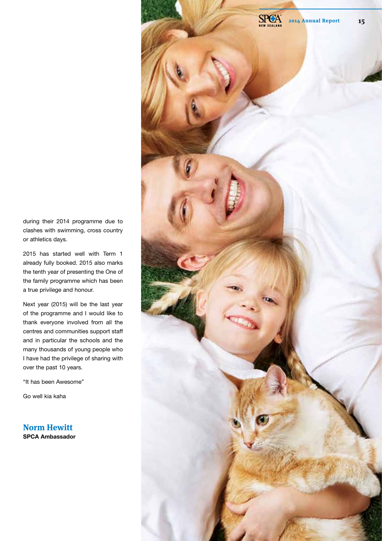during their 2014 programme due to clashes with swimming, cross country or athletics days.

2015 has started well with Term 1 already fully booked. 2015 also marks the tenth year of presenting the One of the family programme which has been a true privilege and honour.

Next year (2015) will be the last year of the programme and I would like to thank everyone involved from all the centres and communities support staff and in particular the schools and the many thousands of young people who I have had the privilege of sharing with over the past 10 years.

"It has been Awesome"

Go well kia kaha

**Norm Hewitt SPCA Ambassador**

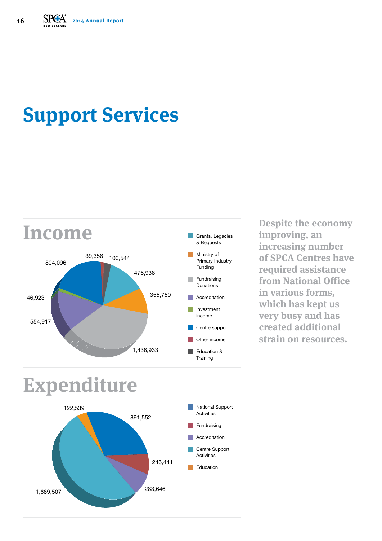

## **Support Services**



**Despite the economy improving, an increasing number of SPCA Centres have required assistance from National Office in various forms, which has kept us very busy and has created additional strain on resources.** 

### **Expenditure**

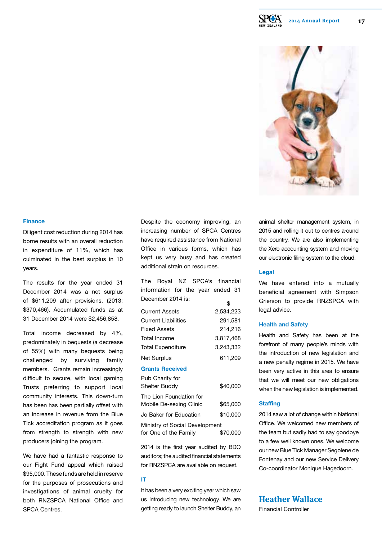

#### **Finance**

Diligent cost reduction during 2014 has borne results with an overall reduction in expenditure of 11%, which has culminated in the best surplus in 10 years.

The results for the year ended 31 December 2014 was a net surplus of \$611,209 after provisions. (2013: \$370,466). Accumulated funds as at 31 December 2014 were \$2,456,858.

Total income decreased by 4%, predominately in bequests (a decrease of 55%) with many bequests being challenged by surviving family members. Grants remain increasingly difficult to secure, with local gaming Trusts preferring to support local community interests. This down-turn has been has been partially offset with an increase in revenue from the Blue Tick accreditation program as it goes from strength to strength with new producers joining the program.

We have had a fantastic response to our Fight Fund appeal which raised \$95,000. These funds are held in reserve for the purposes of prosecutions and investigations of animal cruelty for both RNZSPCA National Office and SPCA Centres.

Despite the economy improving, an increasing number of SPCA Centres have required assistance from National Office in various forms, which has kept us very busy and has created additional strain on resources.

The Royal NZ SPCA's financial information for the year ended 31 December 2014 is:

|                            | 35        |
|----------------------------|-----------|
| Current Assets             | 2,534,223 |
| <b>Current Liabilities</b> | 291,581   |
| Fixed Assets               | 214,216   |
| Total Income               | 3,817,468 |
| <b>Total Expenditure</b>   | 3,243,332 |
| <b>Net Surplus</b>         | 611,209   |
| <b>Grants Received</b>     |           |
| Pub Charity for            |           |
| Shelter Buddy              | \$40,000  |
| The Lion Foundation for    |           |
| Mobile De-sexing Clinic    | \$65,000  |
| Jo Baker for Education     | \$10.000  |

Ministry of Social Development for One of the Family \$70,000

2014 is the first year audited by BDO auditors; the audited financial statements for RNZSPCA are available on request.

#### **IT**

It has been a very exciting year which saw us introducing new technology. We are getting ready to launch Shelter Buddy, an

animal shelter management system, in 2015 and rolling it out to centres around the country. We are also implementing the Xero accounting system and moving our electronic filing system to the cloud.

#### **Legal**

We have entered into a mutually beneficial agreement with Simpson Grierson to provide RNZSPCA with legal advice.

#### **Health and Safety**

Health and Safety has been at the forefront of many people's minds with the introduction of new legislation and a new penalty regime in 2015. We have been very active in this area to ensure that we will meet our new obligations when the new legislation is implemented.

#### **Staffing**

2014 saw a lot of change within National Office. We welcomed new members of the team but sadly had to say goodbye to a few well known ones. We welcome our new Blue Tick Manager Segolene de Fontenay and our new Service Delivery Co-coordinator Monique Hagedoorn.

### **Heather Wallace**

Financial Controller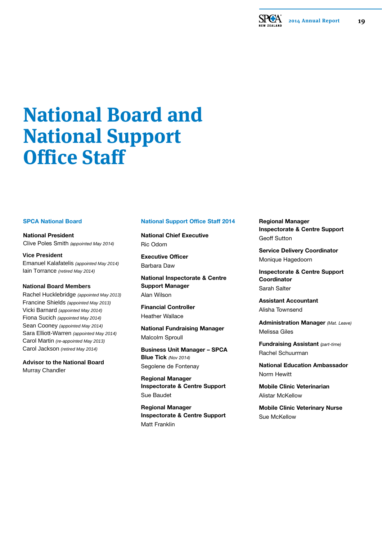

### **National Board and National Support Office Staff**

#### **SPCA National Board**

**National President** Clive Poles Smith *(appointed May 2014)*

**Vice President Vice President** Emanuel Kalafatelis *(appointed May 2014)* Emanuel Kalafatelis *(appointed May 2014)* **National Board Members** Iain Torrance *(retired May 2014)*

### Rachel Hucklebridge *(appointed May 2013)* **National Board Members**

Francine Shields *(appointed May 2013)* Rachel Hucklebridge *(appointed May 2013)* Vicki Barnard *(appointed May 2014)* Francine Shields *(appointed May 2013)* Fiona Sucich *(appointed May 2014)* Vicki Barnard *(appointed May 2014)* Sean Cooney *(appointed May 2014)* Fiona Sucich *(appointed May 2014)* Sean Cooney *(appointed May 2014)* Carol Martin *(re-appointed May 2013)* Sara Elliott-Warren *(appointed May 2014)* Carol Jackson *(retired May 2014)* Carol Martin *(re-appointed May 2013)* **Advisor to the National Board** Carol Jackson *(retired May 2014)*

Murray Chandler **Advisor to the National Board** Murray Chandler

#### **National Support Office Staff 2014**

**National Chief Executive**  Ric Odom

**Executive Officer** Barbara Daw

**National Inspectorate & Centre Support Manager** Alan Wilson

**Financial Controller** Heather Wallace

**National Fundraising Manager**  Malcolm Sproull

**Business Unit Manager – SPCA Blue Tick** *(Nov 2014)* Segolene de Fontenay

**Regional Manager Inspectorate & Centre Support**  Sue Baudet

**Regional Manager Inspectorate & Centre Support** Matt Franklin

**Regional Manager Inspectorate & Centre Support** Geoff Sutton

**Service Delivery Coordinator** Monique Hagedoorn

**Inspectorate & Centre Support Coordinator** Sarah Salter

**Assistant Accountant** Alisha Townsend

**Administration Manager** *(Mat. Leave)* Melissa Giles

**Fundraising Assistant** *(part-time)* Rachel Schuurman

**National Education Ambassador** Norm Hewitt

**Mobile Clinic Veterinarian** Alistar McKellow

**Mobile Clinic Veterinary Nurse** Sue McKellow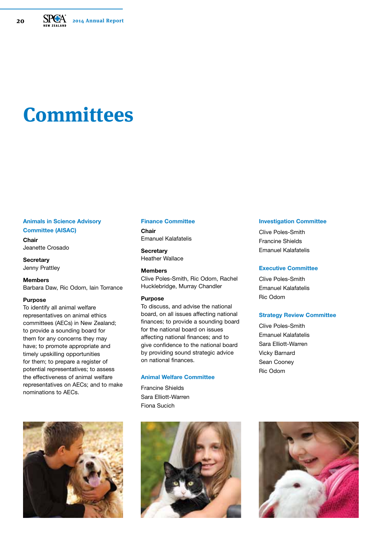## **Committees**

### **Animals in Science Advisory Committee (AISAC)**

**Chair** Jeanette Crosado

**Secretary** Jenny Prattley

#### **Members**

Barbara Daw, Ric Odom, Iain Torrance

#### **Purpose**

To identify all animal welfare representatives on animal ethics committees (AECs) in New Zealand; to provide a sounding board for them for any concerns they may have; to promote appropriate and timely upskilling opportunities for them; to prepare a register of potential representatives; to assess the effectiveness of animal welfare representatives on AECs; and to make nominations to AECs.



#### **Finance Committee**

**Chair** Emanuel Kalafatelis

**Secretary** Heather Wallace

#### **Members**

Clive Poles-Smith, Ric Odom, Rachel Hucklebridge, Murray Chandler

#### **Purpose**

To discuss, and advise the national board, on all issues affecting national finances; to provide a sounding board for the national board on issues affecting national finances; and to give confidence to the national board by providing sound strategic advice on national finances.

#### **Animal Welfare Committee**

Francine Shields Sara Elliott-Warren Fiona Sucich



#### **Investigation Committee**

Clive Poles-Smith Francine Shields Emanuel Kalafatelis

#### **Executive Committee**

Clive Poles-Smith Emanuel Kalafatelis Ric Odom

#### **Strategy Review Committee**

Clive Poles-Smith Emanuel Kalafatelis Sara Elliott-Warren Vicky Barnard Sean Cooney Ric Odom

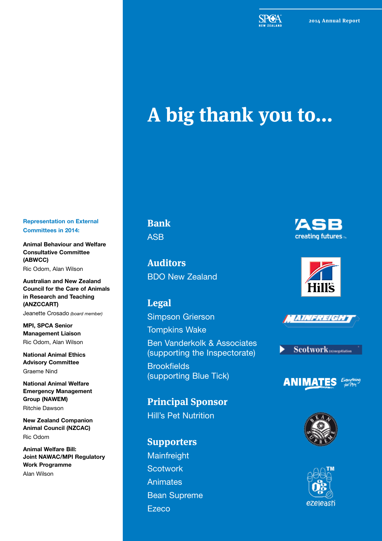

## **A big thank you to...**

### **Representation on External Committees in 2014:**

**Animal Behaviour and Welfare Consultative Committee (ABWCC)** Ric Odom, Alan Wilson

**Australian and New Zealand Council for the Care of Animals in Research and Teaching (ANZCCART)**

Jeanette Crosado *(board member)*

**MPI, SPCA Senior Management Liaison** Ric Odom, Alan Wilson

**National Animal Ethics Advisory Committee** Graeme Nind

**National Animal Welfare Emergency Management Group (NAWEM)** Ritchie Dawson

**New Zealand Companion Animal Council (NZCAC)** Ric Odom

**Animal Welfare Bill: Joint NAWAC/MPI Regulatory Work Programme** Alan Wilson

### **Bank** ASB

**Auditors** BDO New Zealand

### **Legal**

Simpson Grierson Tompkins Wake Ben Vanderkolk & Associates (supporting the Inspectorate) **Brookfields** (supporting Blue Tick)

**Principal Sponsor** Hill's Pet Nutrition

**Supporters** Mainfreight **Scotwork Animates** Bean Supreme **Ezeco**